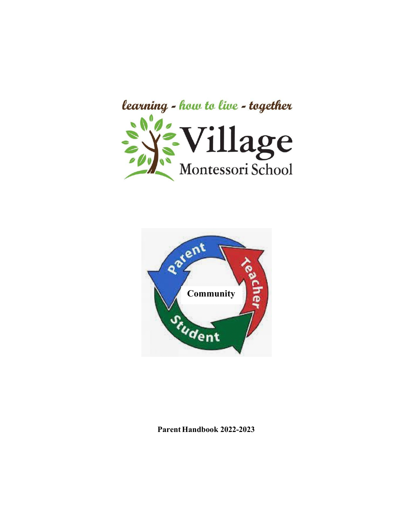



**ParentHandbook 2022-2023**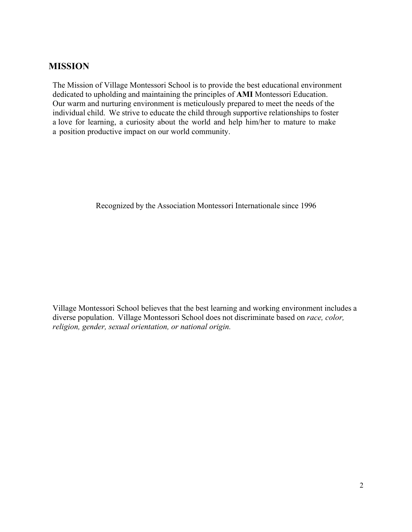## **MISSION**

The Mission of Village Montessori School is to provide the best educational environment dedicated to upholding and maintaining the principles of **AMI** Montessori Education. Our warm and nurturing environment is meticulously prepared to meet the needs of the individual child. We strive to educate the child through supportive relationships to foster a love for learning, a curiosity about the world and help him/her to mature to make a position productive impact on our world community.

Recognized by the Association Montessori Internationale since 1996

Village Montessori School believes that the best learning and working environment includes a diverse population. Village Montessori School does not discriminate based on *race, color, religion, gender, sexual orientation, or national origin.*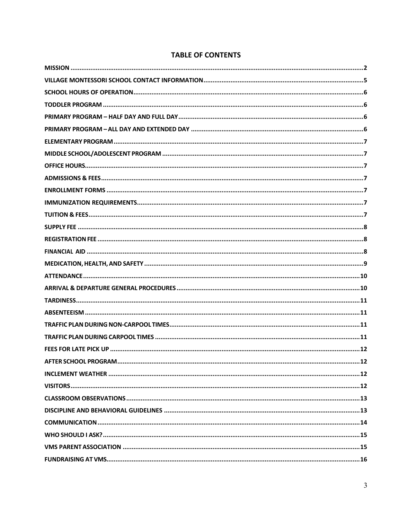| <b>TABLE OF CONTENTS</b> |  |  |
|--------------------------|--|--|
|                          |  |  |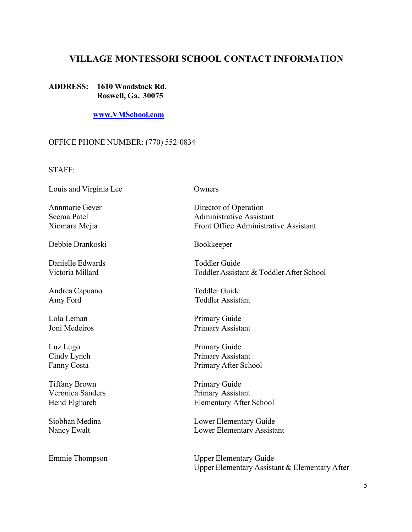## **VILLAGE MONTESSORI SCHOOL CONTACT INFORMATION**

#### **ADDRESS: 1610 Woodstock Rd. Roswell, Ga. 30075**

**www.VMSchool.com**

#### OFFICE PHONE NUMBER: (770) 552-0834

STAFF:

Louis and Virginia Lee Owners

Debbie Drankoski Bookkeeper

Danielle Edwards Toddler Guide

Andrea Capuano Toddler Guide

Lola Leman Primary Guide

Luz Lugo Primary Guide

Tiffany Brown Primary Guide

Annmarie Gever Director of Operation Seema Patel **Administrative Assistant** Xiomara Mejia **Front Office Administrative Assistant** 

Victoria Millard Toddler Assistant & Toddler After School

Amy Ford Toddler Assistant

Joni Medeiros Primary Assistant

Cindy Lynch Primary Assistant Fanny Costa Primary After School

Veronica Sanders Primary Assistant Hend Elghareb Elementary After School

Siobhan Medina Lower Elementary Guide Nancy Ewalt **Lower Elementary Assistant** 

Emmie Thompson Upper Elementary Guide Upper Elementary Assistant & Elementary After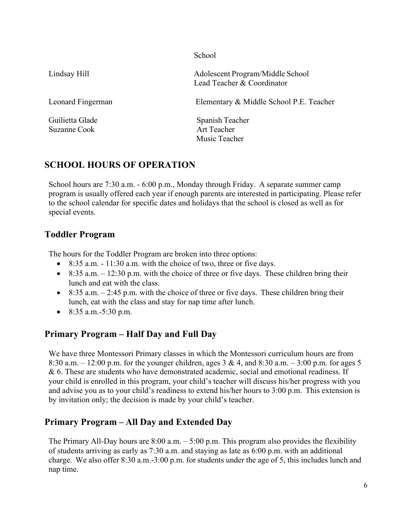**School** 

Lindsay Hill Adolescent Program/Middle School Lead Teacher & Coordinator

Suzanne Cook Art Teacher

Leonard Fingerman Elementary & Middle School P.E. Teacher

Guilietta Glade Spanish Teacher Music Teacher

# **SCHOOL HOURS OF OPERATION**

School hours are 7:30 a.m. - 6:00 p.m., Monday through Friday. A separate summer camp program is usually offered each year if enough parents are interested in participating. Please refer to the school calendar for specific dates and holidays that the school is closed as well as for special events.

## **Toddler Program**

The hours for the Toddler Program are broken into three options:

- 8:35 a.m. 11:30 a.m. with the choice of two, three or five days.
- 8:35 a.m.  $-12:30$  p.m. with the choice of three or five days. These children bring their lunch and eat with the class.
- 8:35 a.m.  $-2:45$  p.m. with the choice of three or five days. These children bring their lunch, eat with the class and stay for nap time after lunch.
- 8:35 a.m. 5:30 p.m.

# **Primary Program – Half Day and Full Day**

We have three Montessori Primary classes in which the Montessori curriculum hours are from 8:30 a.m.  $-12:00$  p.m. for the younger children, ages 3 & 4, and 8:30 a.m.  $-3:00$  p.m. for ages 5 & 6. These are students who have demonstrated academic, social and emotional readiness. If your child is enrolled in this program, your child's teacher will discuss his/her progress with you and advise you as to your child's readiness to extend his/her hours to 3:00 p.m. This extension is by invitation only; the decision is made by your child's teacher.

# **Primary Program – All Day and Extended Day**

The Primary All-Day hours are  $8:00$  a.m.  $-5:00$  p.m. This program also provides the flexibility of students arriving as early as 7:30 a.m. and staying as late as 6:00 p.m. with an additional charge. We also offer 8:30 a.m.-3:00 p.m. for students under the age of 5, this includes lunch and nap time.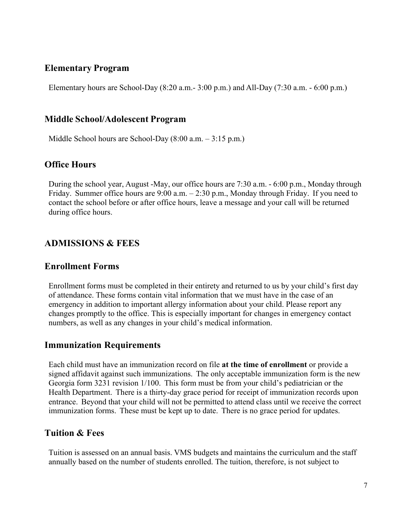## **Elementary Program**

Elementary hours are School-Day (8:20 a.m.- 3:00 p.m.) and All-Day (7:30 a.m. - 6:00 p.m.)

### **Middle School/Adolescent Program**

Middle School hours are School-Day (8:00 a.m. – 3:15 p.m.)

## **Office Hours**

During the school year, August -May, our office hours are 7:30 a.m. - 6:00 p.m., Monday through Friday. Summer office hours are 9:00 a.m. – 2:30 p.m., Monday through Friday. If you need to contact the school before or after office hours, leave a message and your call will be returned during office hours.

## **ADMISSIONS & FEES**

### **Enrollment Forms**

Enrollment forms must be completed in their entirety and returned to us by your child's first day of attendance. These forms contain vital information that we must have in the case of an emergency in addition to important allergy information about your child. Please report any changes promptly to the office. This is especially important for changes in emergency contact numbers, as well as any changes in your child's medical information.

## **Immunization Requirements**

Each child must have an immunization record on file **at the time of enrollment** or provide a signed affidavit against such immunizations. The only acceptable immunization form is the new Georgia form 3231 revision 1/100. This form must be from your child's pediatrician or the Health Department. There is a thirty-day grace period for receipt of immunization records upon entrance. Beyond that your child will not be permitted to attend class until we receive the correct immunization forms. These must be kept up to date. There is no grace period for updates.

## **Tuition & Fees**

Tuition is assessed on an annual basis. VMS budgets and maintains the curriculum and the staff annually based on the number of students enrolled. The tuition, therefore, is not subject to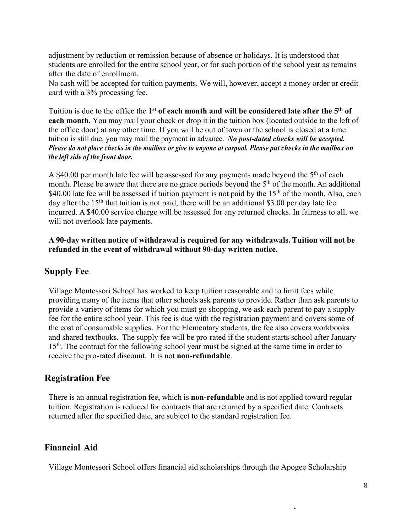adjustment by reduction or remission because of absence or holidays. It is understood that students are enrolled for the entire school year, or for such portion of the school year as remains after the date of enrollment.

No cash will be accepted for tuition payments. We will, however, accept a money order or credit card with a 3% processing fee.

Tuition is due to the office the **1st of each month and will be considered late after the 5th of each month.** You may mail your check or drop it in the tuition box (located outside to the left of the office door) at any other time. If you will be out of town or the school is closed at a time tuition is still due, you may mail the payment in advance. *No post-dated checks will be accepted. Please do not place checks in the mailbox or give to anyone at carpool. Please put checks in the mailbox on the left side of the front door.*

A \$40.00 per month late fee will be assessed for any payments made beyond the 5th of each month. Please be aware that there are no grace periods beyond the 5<sup>th</sup> of the month. An additional \$40.00 late fee will be assessed if tuition payment is not paid by the  $15<sup>th</sup>$  of the month. Also, each day after the  $15<sup>th</sup>$  that tuition is not paid, there will be an additional \$3.00 per day late fee incurred. A \$40.00 service charge will be assessed for any returned checks. In fairness to all, we will not overlook late payments.

#### **A 90-day written notice of withdrawal is required for any withdrawals. Tuition will not be refunded in the event of withdrawal without 90-day written notice.**

### **Supply Fee**

Village Montessori School has worked to keep tuition reasonable and to limit fees while providing many of the items that other schools ask parents to provide. Rather than ask parents to provide a variety of items for which you must go shopping, we ask each parent to pay a supply fee for the entire school year. This fee is due with the registration payment and covers some of the cost of consumable supplies. For the Elementary students, the fee also covers workbooks and shared textbooks. The supply fee will be pro-rated if the student starts school after January 15<sup>th</sup>. The contract for the following school year must be signed at the same time in order to receive the pro-rated discount. It is not **non-refundable**.

### **Registration Fee**

There is an annual registration fee, which is **non-refundable** and is not applied toward regular tuition. Registration is reduced for contracts that are returned by a specified date. Contracts returned after the specified date, are subject to the standard registration fee.

### **Financial Aid**

Village Montessori School offers financial aid scholarships through the Apogee Scholarship

**.**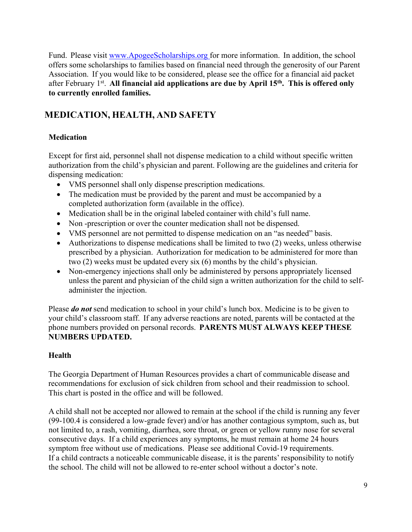Fund. Please visit www.ApogeeScholarships.org for more information. In addition, the school offers some scholarships to families based on financial need through the generosity of our Parent Association. If you would like to be considered, please see the office for a financial aid packet after February 1<sup>st</sup>. All financial aid applications are due by April 15<sup>th</sup>. This is offered only **to currently enrolled families.** 

## **MEDICATION, HEALTH, AND SAFETY**

#### **Medication**

Except for first aid, personnel shall not dispense medication to a child without specific written authorization from the child's physician and parent. Following are the guidelines and criteria for dispensing medication:

- VMS personnel shall only dispense prescription medications.
- The medication must be provided by the parent and must be accompanied by a completed authorization form (available in the office).
- Medication shall be in the original labeled container with child's full name.
- Non-prescription or over the counter medication shall not be dispensed.
- VMS personnel are not permitted to dispense medication on an "as needed" basis.
- Authorizations to dispense medications shall be limited to two (2) weeks, unless otherwise prescribed by a physician. Authorization for medication to be administered for more than two (2) weeks must be updated every six (6) months by the child's physician.
- Non-emergency injections shall only be administered by persons appropriately licensed unless the parent and physician of the child sign a written authorization for the child to selfadminister the injection.

Please *do not* send medication to school in your child's lunch box. Medicine is to be given to your child's classroom staff. If any adverse reactions are noted, parents will be contacted at the phone numbers provided on personal records. **PARENTS MUST ALWAYS KEEP THESE NUMBERS UPDATED.**

#### **Health**

The Georgia Department of Human Resources provides a chart of communicable disease and recommendations for exclusion of sick children from school and their readmission to school. This chart is posted in the office and will be followed.

A child shall not be accepted nor allowed to remain at the school if the child is running any fever (99-100.4 is considered a low-grade fever) and/or has another contagious symptom, such as, but not limited to, a rash, vomiting, diarrhea, sore throat, or green or yellow runny nose for several consecutive days. If a child experiences any symptoms, he must remain at home 24 hours symptom free without use of medications. Please see additional Covid-19 requirements. If a child contracts a noticeable communicable disease, it is the parents' responsibility to notify the school. The child will not be allowed to re-enter school without a doctor's note.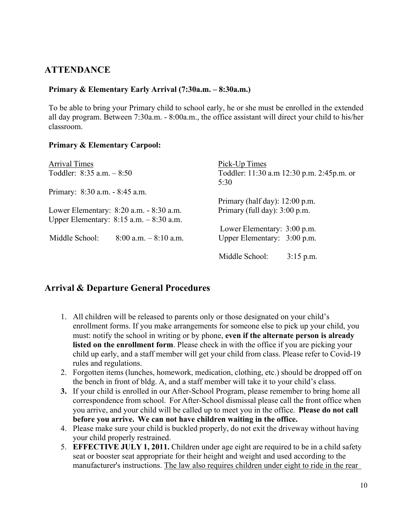## **ATTENDANCE**

#### **Primary & Elementary Early Arrival (7:30a.m. – 8:30a.m.)**

To be able to bring your Primary child to school early, he or she must be enrolled in the extended all day program. Between 7:30a.m. - 8:00a.m., the office assistant will direct your child to his/her classroom.

#### **Primary & Elementary Carpool:**

| <b>Arrival Times</b>                       |                          | Pick-Up Times                             |             |  |
|--------------------------------------------|--------------------------|-------------------------------------------|-------------|--|
| Toddler: $8:35$ a.m. $-8:50$               |                          | Toddler: 11:30 a.m 12:30 p.m. 2:45p.m. or |             |  |
|                                            |                          | 5:30                                      |             |  |
| Primary: 8:30 a.m. - 8:45 a.m.             |                          |                                           |             |  |
|                                            |                          | Primary (half day): $12:00$ p.m.          |             |  |
| Lower Elementary: 8:20 a.m. - 8:30 a.m.    |                          | Primary (full day): 3:00 p.m.             |             |  |
| Upper Elementary: $8:15$ a.m. $-8:30$ a.m. |                          |                                           |             |  |
|                                            |                          | Lower Elementary: 3:00 p.m.               |             |  |
| Middle School:                             | $8:00$ a.m. $-8:10$ a.m. | Upper Elementary: 3:00 p.m.               |             |  |
|                                            |                          | Middle School:                            | $3:15$ p.m. |  |

### **Arrival & Departure General Procedures**

- 1. All children will be released to parents only or those designated on your child's enrollment forms. If you make arrangements for someone else to pick up your child, you must: notify the school in writing or by phone, **even if the alternate person is already listed on the enrollment form**. Please check in with the office if you are picking your child up early, and a staff member will get your child from class. Please refer to Covid-19 rules and regulations.
- 2. Forgotten items (lunches, homework, medication, clothing, etc.) should be dropped off on the bench in front of bldg. A, and a staff member will take it to your child's class.
- **3.** If your child is enrolled in our After-School Program, please remember to bring home all correspondence from school. For After-School dismissal please call the front office when you arrive, and your child will be called up to meet you in the office. **Please do not call before you arrive. We can not have children waiting in the office.**
- 4. Please make sure your child is buckled properly, do not exit the driveway without having your child properly restrained.
- 5. **EFFECTIVE JULY 1, 2011.** Children under age eight are required to be in a child safety seat or booster seat appropriate for their height and weight and used according to the manufacturer's instructions. The law also requires children under eight to ride in the rear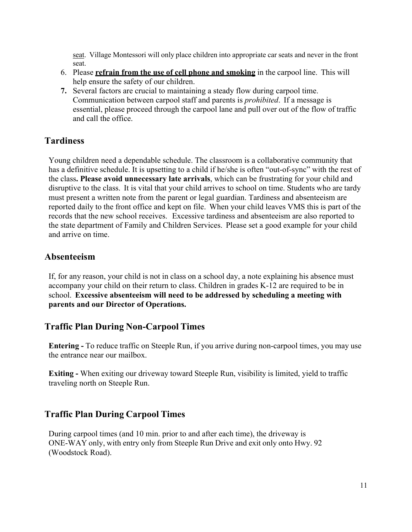seat. Village Montessori will only place children into appropriate car seats and never in the front seat.

- 6. Please **refrain from the use of cell phone and smoking** in the carpool line. This will help ensure the safety of our children.
- **7.** Several factors are crucial to maintaining a steady flow during carpool time. Communication between carpool staff and parents is *prohibited*. If a message is essential, please proceed through the carpool lane and pull over out of the flow of traffic and call the office.

### **Tardiness**

Young children need a dependable schedule. The classroom is a collaborative community that has a definitive schedule. It is upsetting to a child if he/she is often "out-of-sync" with the rest of the class**. Please avoid unnecessary late arrivals**, which can be frustrating for your child and disruptive to the class. It is vital that your child arrives to school on time. Students who are tardy must present a written note from the parent or legal guardian. Tardiness and absenteeism are reported daily to the front office and kept on file. When your child leaves VMS this is part of the records that the new school receives. Excessive tardiness and absenteeism are also reported to the state department of Family and Children Services. Please set a good example for your child and arrive on time.

#### **Absenteeism**

If, for any reason, your child is not in class on a school day, a note explaining his absence must accompany your child on their return to class. Children in grades K-12 are required to be in school. **Excessive absenteeism will need to be addressed by scheduling a meeting with parents and our Director of Operations.**

#### **Traffic Plan During Non-Carpool Times**

**Entering -** To reduce traffic on Steeple Run, if you arrive during non-carpool times, you may use the entrance near our mailbox.

**Exiting -** When exiting our driveway toward Steeple Run, visibility is limited, yield to traffic traveling north on Steeple Run.

#### **Traffic Plan During Carpool Times**

During carpool times (and 10 min. prior to and after each time), the driveway is ONE-WAY only, with entry only from Steeple Run Drive and exit only onto Hwy. 92 (Woodstock Road).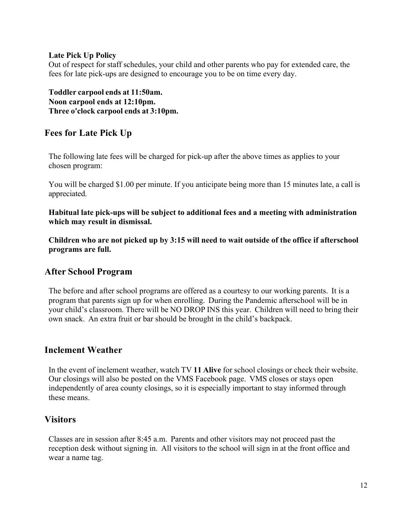#### **Late Pick Up Policy**

Out of respect for staff schedules, your child and other parents who pay for extended care, the fees for late pick-ups are designed to encourage you to be on time every day.

**Toddler carpool ends at 11:50am. Noon carpool ends at 12:10pm. Three o'clock carpool ends at 3:10pm.** 

## **Fees for Late Pick Up**

The following late fees will be charged for pick-up after the above times as applies to your chosen program:

You will be charged \$1.00 per minute. If you anticipate being more than 15 minutes late, a call is appreciated.

**Habitual late pick-ups will be subject to additional fees and a meeting with administration which may result in dismissal.**

**Children who are not picked up by 3:15 will need to wait outside of the office if afterschool programs are full.**

### **After School Program**

The before and after school programs are offered as a courtesy to our working parents. It is a program that parents sign up for when enrolling. During the Pandemic afterschool will be in your child's classroom. There will be NO DROP INS this year. Children will need to bring their own snack. An extra fruit or bar should be brought in the child's backpack.

### **Inclement Weather**

In the event of inclement weather, watch TV **11 Alive** for school closings or check their website. Our closings will also be posted on the VMS Facebook page. VMS closes or stays open independently of area county closings, so it is especially important to stay informed through these means.

### **Visitors**

Classes are in session after 8:45 a.m. Parents and other visitors may not proceed past the reception desk without signing in. All visitors to the school will sign in at the front office and wear a name tag.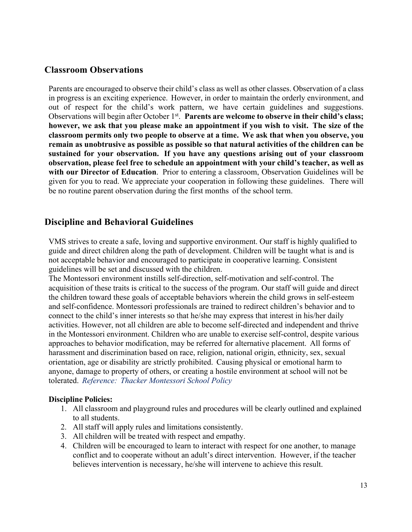## **Classroom Observations**

Parents are encouraged to observe their child's class as well as other classes. Observation of a class in progress is an exciting experience. However, in order to maintain the orderly environment, and out of respect for the child's work pattern, we have certain guidelines and suggestions. Observations will begin after October 1<sup>st</sup>. **Parents are welcome to observe in their child's class; however, we ask that you please make an appointment if you wish to visit. The size of the classroom permits only two people to observe at a time. We ask that when you observe, you remain as unobtrusive as possible as possible so that natural activities of the children can be sustained for your observation. If you have any questions arising out of your classroom observation, please feel free to schedule an appointment with your child's teacher, as well as with our Director of Education**. Prior to entering a classroom, Observation Guidelines will be given for you to read. We appreciate your cooperation in following these guidelines. There will be no routine parent observation during the first months of the school term.

### **Discipline and Behavioral Guidelines**

VMS strives to create a safe, loving and supportive environment. Our staff is highly qualified to guide and direct children along the path of development. Children will be taught what is and is not acceptable behavior and encouraged to participate in cooperative learning. Consistent guidelines will be set and discussed with the children.

The Montessori environment instills self-direction, self-motivation and self-control. The acquisition of these traits is critical to the success of the program. Our staff will guide and direct the children toward these goals of acceptable behaviors wherein the child grows in self-esteem and self-confidence. Montessori professionals are trained to redirect children's behavior and to connect to the child's inner interests so that he/she may express that interest in his/her daily activities. However, not all children are able to become self-directed and independent and thrive in the Montessori environment. Children who are unable to exercise self-control, despite various approaches to behavior modification, may be referred for alternative placement. All forms of harassment and discrimination based on race, religion, national origin, ethnicity, sex, sexual orientation, age or disability are strictly prohibited. Causing physical or emotional harm to anyone, damage to property of others, or creating a hostile environment at school will not be tolerated. *Reference: Thacker Montessori School Policy*

#### **Discipline Policies:**

- 1. All classroom and playground rules and procedures will be clearly outlined and explained to all students.
- 2. All staff will apply rules and limitations consistently.
- 3. All children will be treated with respect and empathy.
- 4. Children will be encouraged to learn to interact with respect for one another, to manage conflict and to cooperate without an adult's direct intervention. However, if the teacher believes intervention is necessary, he/she will intervene to achieve this result.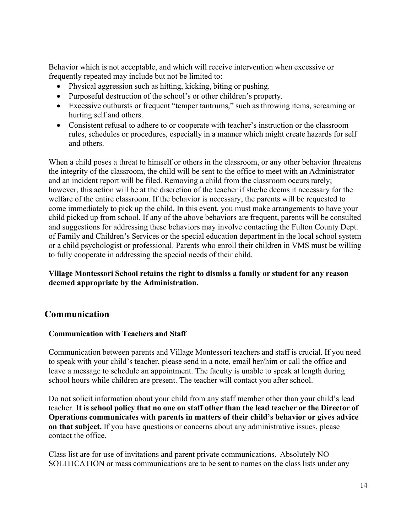Behavior which is not acceptable, and which will receive intervention when excessive or frequently repeated may include but not be limited to:

- Physical aggression such as hitting, kicking, biting or pushing.
- Purposeful destruction of the school's or other children's property.
- Excessive outbursts or frequent "temper tantrums," such as throwing items, screaming or hurting self and others.
- Consistent refusal to adhere to or cooperate with teacher's instruction or the classroom rules, schedules or procedures, especially in a manner which might create hazards for self and others.

When a child poses a threat to himself or others in the classroom, or any other behavior threatens the integrity of the classroom, the child will be sent to the office to meet with an Administrator and an incident report will be filed. Removing a child from the classroom occurs rarely; however, this action will be at the discretion of the teacher if she/he deems it necessary for the welfare of the entire classroom. If the behavior is necessary, the parents will be requested to come immediately to pick up the child. In this event, you must make arrangements to have your child picked up from school. If any of the above behaviors are frequent, parents will be consulted and suggestions for addressing these behaviors may involve contacting the Fulton County Dept. of Family and Children's Services or the special education department in the local school system or a child psychologist or professional. Parents who enroll their children in VMS must be willing to fully cooperate in addressing the special needs of their child.

#### **Village Montessori School retains the right to dismiss a family or student for any reason deemed appropriate by the Administration.**

### **Communication**

#### **Communication with Teachers and Staff**

Communication between parents and Village Montessori teachers and staff is crucial. If you need to speak with your child's teacher, please send in a note, email her/him or call the office and leave a message to schedule an appointment. The faculty is unable to speak at length during school hours while children are present. The teacher will contact you after school.

Do not solicit information about your child from any staff member other than your child's lead teacher. **It is school policy that no one on staff other than the lead teacher or the Director of Operations communicates with parents in matters of their child's behavior or gives advice on that subject.** If you have questions or concerns about any administrative issues, please contact the office.

Class list are for use of invitations and parent private communications. Absolutely NO SOLITICATION or mass communications are to be sent to names on the class lists under any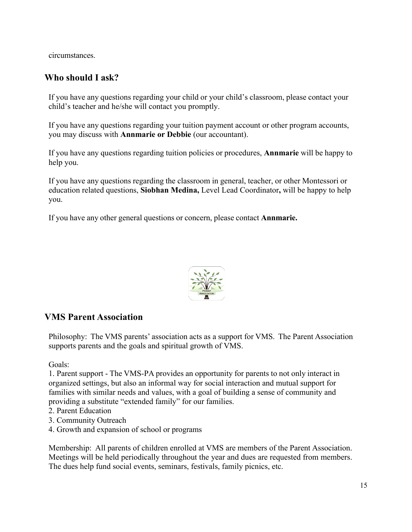circumstances.

## **Who should I ask?**

If you have any questions regarding your child or your child's classroom, please contact your child's teacher and he/she will contact you promptly.

If you have any questions regarding your tuition payment account or other program accounts, you may discuss with **Annmarie or Debbie** (our accountant).

If you have any questions regarding tuition policies or procedures, **Annmarie** will be happy to help you.

If you have any questions regarding the classroom in general, teacher, or other Montessori or education related questions, **Siobhan Medina,** Level Lead Coordinator**,** will be happy to help you.

If you have any other general questions or concern, please contact **Annmarie.**



## **VMS Parent Association**

Philosophy: The VMS parents' association acts as a support for VMS. The Parent Association supports parents and the goals and spiritual growth of VMS.

Goals:

1. Parent support - The VMS-PA provides an opportunity for parents to not only interact in organized settings, but also an informal way for social interaction and mutual support for families with similar needs and values, with a goal of building a sense of community and providing a substitute "extended family" for our families.

- 2. Parent Education
- 3. Community Outreach
- 4. Growth and expansion of school or programs

Membership: All parents of children enrolled at VMS are members of the Parent Association. Meetings will be held periodically throughout the year and dues are requested from members. The dues help fund social events, seminars, festivals, family picnics, etc.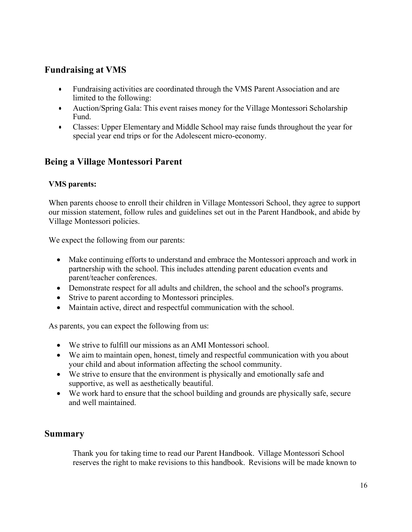## **Fundraising at VMS**

- Fundraising activities are coordinated through the VMS Parent Association and are limited to the following:
- Auction/Spring Gala: This event raises money for the Village Montessori Scholarship Fund.
- Classes: Upper Elementary and Middle School may raise funds throughout the year for special year end trips or for the Adolescent micro-economy.

## **Being a Village Montessori Parent**

#### **VMS parents:**

When parents choose to enroll their children in Village Montessori School, they agree to support our mission statement, follow rules and guidelines set out in the Parent Handbook, and abide by Village Montessori policies.

We expect the following from our parents:

- Make continuing efforts to understand and embrace the Montessori approach and work in partnership with the school. This includes attending parent education events and parent/teacher conferences.
- Demonstrate respect for all adults and children, the school and the school's programs.
- Strive to parent according to Montessori principles.
- Maintain active, direct and respectful communication with the school.

As parents, you can expect the following from us:

- We strive to fulfill our missions as an AMI Montessori school.
- We aim to maintain open, honest, timely and respectful communication with you about your child and about information affecting the school community.
- We strive to ensure that the environment is physically and emotionally safe and supportive, as well as aesthetically beautiful.
- We work hard to ensure that the school building and grounds are physically safe, secure and well maintained.

### **Summary**

Thank you for taking time to read our Parent Handbook. Village Montessori School reserves the right to make revisions to this handbook. Revisions will be made known to